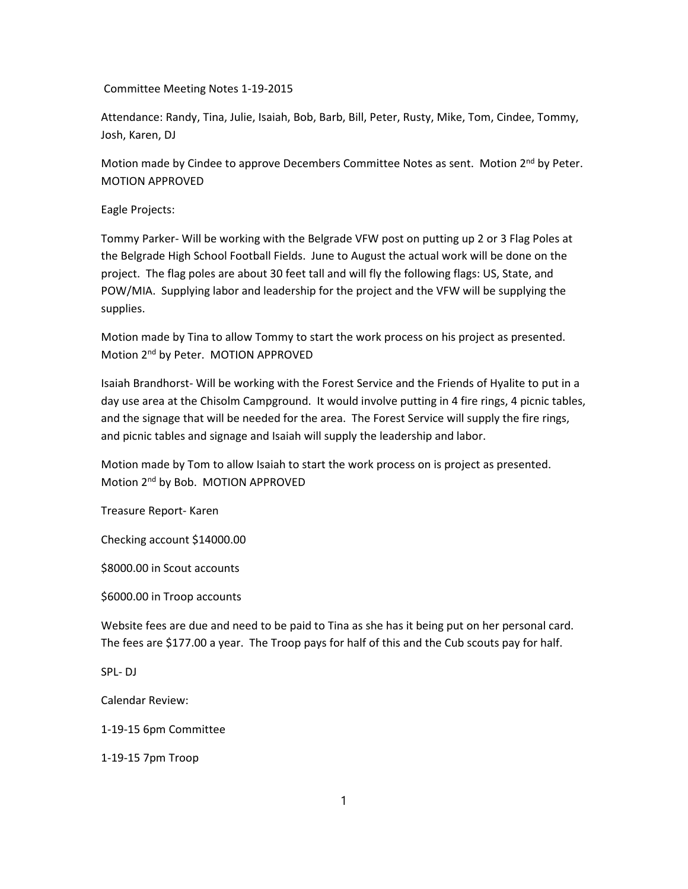Committee Meeting Notes 1-19-2015

Attendance: Randy, Tina, Julie, Isaiah, Bob, Barb, Bill, Peter, Rusty, Mike, Tom, Cindee, Tommy, Josh, Karen, DJ

Motion made by Cindee to approve Decembers Committee Notes as sent. Motion 2<sup>nd</sup> by Peter. MOTION APPROVED

Eagle Projects:

Tommy Parker- Will be working with the Belgrade VFW post on putting up 2 or 3 Flag Poles at the Belgrade High School Football Fields. June to August the actual work will be done on the project. The flag poles are about 30 feet tall and will fly the following flags: US, State, and POW/MIA. Supplying labor and leadership for the project and the VFW will be supplying the supplies.

Motion made by Tina to allow Tommy to start the work process on his project as presented. Motion 2nd by Peter. MOTION APPROVED

Isaiah Brandhorst- Will be working with the Forest Service and the Friends of Hyalite to put in a day use area at the Chisolm Campground. It would involve putting in 4 fire rings, 4 picnic tables, and the signage that will be needed for the area. The Forest Service will supply the fire rings, and picnic tables and signage and Isaiah will supply the leadership and labor.

Motion made by Tom to allow Isaiah to start the work process on is project as presented. Motion 2<sup>nd</sup> by Bob. MOTION APPROVED

Treasure Report- Karen

Checking account \$14000.00

\$8000.00 in Scout accounts

\$6000.00 in Troop accounts

Website fees are due and need to be paid to Tina as she has it being put on her personal card. The fees are \$177.00 a year. The Troop pays for half of this and the Cub scouts pay for half.

SPL- DJ

Calendar Review:

1-19-15 6pm Committee

1-19-15 7pm Troop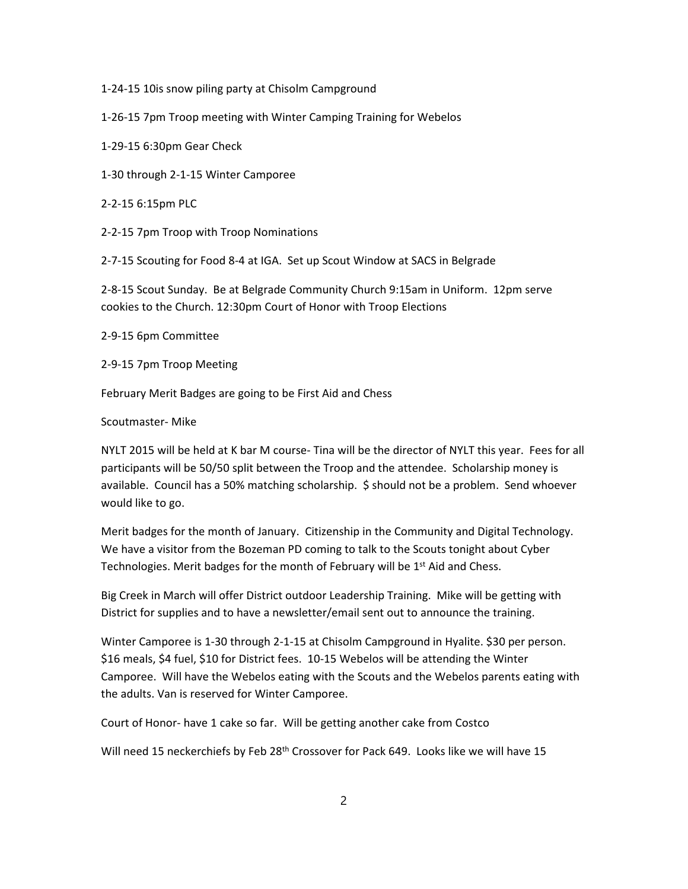1-24-15 10is snow piling party at Chisolm Campground

1-26-15 7pm Troop meeting with Winter Camping Training for Webelos

1-29-15 6:30pm Gear Check

1-30 through 2-1-15 Winter Camporee

2-2-15 6:15pm PLC

2-2-15 7pm Troop with Troop Nominations

2-7-15 Scouting for Food 8-4 at IGA. Set up Scout Window at SACS in Belgrade

2-8-15 Scout Sunday. Be at Belgrade Community Church 9:15am in Uniform. 12pm serve cookies to the Church. 12:30pm Court of Honor with Troop Elections

2-9-15 6pm Committee

2-9-15 7pm Troop Meeting

February Merit Badges are going to be First Aid and Chess

Scoutmaster- Mike

NYLT 2015 will be held at K bar M course- Tina will be the director of NYLT this year. Fees for all participants will be 50/50 split between the Troop and the attendee. Scholarship money is available. Council has a 50% matching scholarship. \$ should not be a problem. Send whoever would like to go.

Merit badges for the month of January. Citizenship in the Community and Digital Technology. We have a visitor from the Bozeman PD coming to talk to the Scouts tonight about Cyber Technologies. Merit badges for the month of February will be 1<sup>st</sup> Aid and Chess.

Big Creek in March will offer District outdoor Leadership Training. Mike will be getting with District for supplies and to have a newsletter/email sent out to announce the training.

Winter Camporee is 1-30 through 2-1-15 at Chisolm Campground in Hyalite. \$30 per person. \$16 meals, \$4 fuel, \$10 for District fees. 10-15 Webelos will be attending the Winter Camporee. Will have the Webelos eating with the Scouts and the Webelos parents eating with the adults. Van is reserved for Winter Camporee.

Court of Honor- have 1 cake so far. Will be getting another cake from Costco

Will need 15 neckerchiefs by Feb 28<sup>th</sup> Crossover for Pack 649. Looks like we will have 15